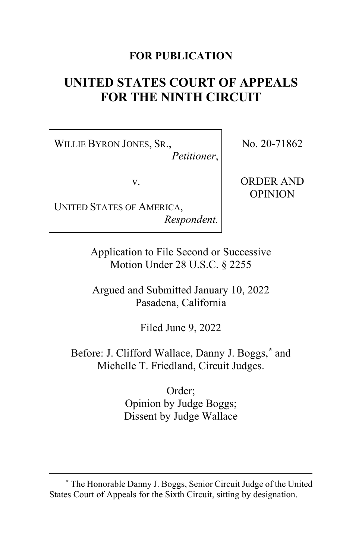# **FOR PUBLICATION**

# **UNITED STATES COURT OF APPEALS FOR THE NINTH CIRCUIT**

WILLIE BYRON JONES, SR., *Petitioner*, No. 20-71862

v.

UNITED STATES OF AMERICA, *Respondent.* ORDER AND OPINION

Application to File Second or Successive Motion Under 28 U.S.C. § 2255

Argued and Submitted January 10, 2022 Pasadena, California

Filed June 9, 2022

Before: J. Clifford Wallace, Danny J. Boggs, **[\\*](#page-0-0)** and Michelle T. Friedland, Circuit Judges.

> Order; Opinion by Judge Boggs; Dissent by Judge Wallace

<span id="page-0-0"></span>**<sup>\*</sup>** The Honorable Danny J. Boggs, Senior Circuit Judge of the United States Court of Appeals for the Sixth Circuit, sitting by designation.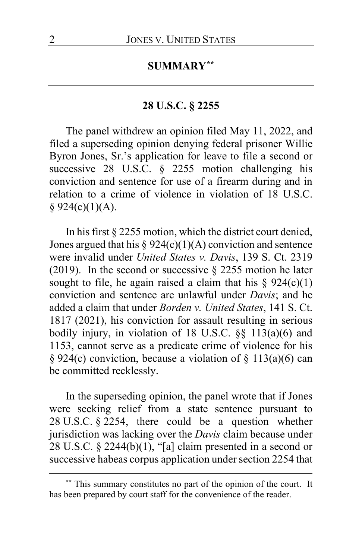# **SUMMARY[\\*\\*](#page-1-0)**

# **28 U.S.C. § 2255**

The panel withdrew an opinion filed May 11, 2022, and filed a superseding opinion denying federal prisoner Willie Byron Jones, Sr.'s application for leave to file a second or successive 28 U.S.C. § 2255 motion challenging his conviction and sentence for use of a firearm during and in relation to a crime of violence in violation of 18 U.S.C.  $§ 924(c)(1)(A).$ 

In his first § 2255 motion, which the district court denied, Jones argued that his  $\S 924(c)(1)(A)$  conviction and sentence were invalid under *United States v. Davis*, 139 S. Ct. 2319 (2019). In the second or successive  $\S$  2255 motion he later sought to file, he again raised a claim that his  $\S 924(c)(1)$ conviction and sentence are unlawful under *Davis*; and he added a claim that under *Borden v. United States*, 141 S. Ct. 1817 (2021), his conviction for assault resulting in serious bodily injury, in violation of 18 U.S.C. §§ 113(a)(6) and 1153, cannot serve as a predicate crime of violence for his § 924(c) conviction, because a violation of § 113(a)(6) can be committed recklessly.

In the superseding opinion, the panel wrote that if Jones were seeking relief from a state sentence pursuant to 28 U.S.C. § 2254, there could be a question whether jurisdiction was lacking over the *Davis* claim because under 28 U.S.C. § 2244(b)(1), "[a] claim presented in a second or successive habeas corpus application under section 2254 that

<span id="page-1-0"></span>**<sup>\*\*</sup>** This summary constitutes no part of the opinion of the court. It has been prepared by court staff for the convenience of the reader.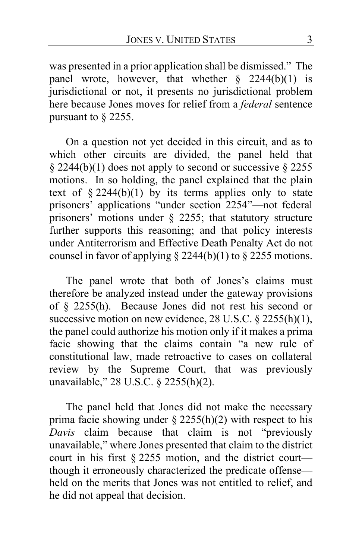was presented in a prior application shall be dismissed." The panel wrote, however, that whether  $\frac{8}{2244(b)(1)}$  is jurisdictional or not, it presents no jurisdictional problem here because Jones moves for relief from a *federal* sentence pursuant to § 2255.

On a question not yet decided in this circuit, and as to which other circuits are divided, the panel held that  $\S 2244(b)(1)$  does not apply to second or successive  $\S 2255$ motions. In so holding, the panel explained that the plain text of  $§$  2244(b)(1) by its terms applies only to state prisoners' applications "under section 2254"—not federal prisoners' motions under § 2255; that statutory structure further supports this reasoning; and that policy interests under Antiterrorism and Effective Death Penalty Act do not counsel in favor of applying  $\S$  2244(b)(1) to  $\S$  2255 motions.

The panel wrote that both of Jones's claims must therefore be analyzed instead under the gateway provisions of § 2255(h). Because Jones did not rest his second or successive motion on new evidence, 28 U.S.C. § 2255(h)(1), the panel could authorize his motion only if it makes a prima facie showing that the claims contain "a new rule of constitutional law, made retroactive to cases on collateral review by the Supreme Court, that was previously unavailable," 28 U.S.C. § 2255(h)(2).

The panel held that Jones did not make the necessary prima facie showing under  $\S$  2255(h)(2) with respect to his *Davis* claim because that claim is not "previously unavailable," where Jones presented that claim to the district court in his first § 2255 motion, and the district court though it erroneously characterized the predicate offense held on the merits that Jones was not entitled to relief, and he did not appeal that decision.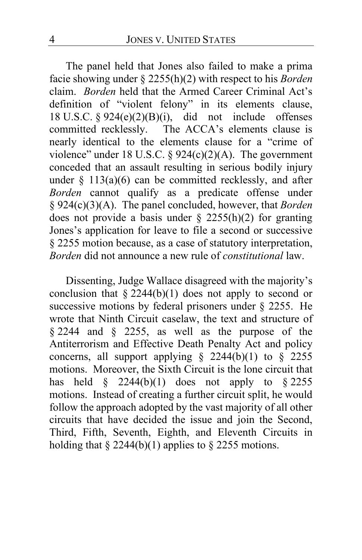The panel held that Jones also failed to make a prima facie showing under § 2255(h)(2) with respect to his *Borden* claim. *Borden* held that the Armed Career Criminal Act's definition of "violent felony" in its elements clause, 18 U.S.C.  $\S 924(e)(2)(B)(i)$ , did not include offenses committed recklessly. The ACCA's elements clause is nearly identical to the elements clause for a "crime of violence" under 18 U.S.C. §  $924(c)(2)(A)$ . The government conceded that an assault resulting in serious bodily injury under  $§$  113(a)(6) can be committed recklessly, and after *Borden* cannot qualify as a predicate offense under § 924(c)(3)(A). The panel concluded, however, that *Borden* does not provide a basis under  $\S$  2255(h)(2) for granting Jones's application for leave to file a second or successive § 2255 motion because, as a case of statutory interpretation, *Borden* did not announce a new rule of *constitutional* law.

Dissenting, Judge Wallace disagreed with the majority's conclusion that  $\S 2244(b)(1)$  does not apply to second or successive motions by federal prisoners under  $\S$  2255. He wrote that Ninth Circuit caselaw, the text and structure of § 2244 and § 2255, as well as the purpose of the Antiterrorism and Effective Death Penalty Act and policy concerns, all support applying  $\S$  2244(b)(1) to  $\S$  2255 motions. Moreover, the Sixth Circuit is the lone circuit that has held  $\frac{1}{2}$  2244(b)(1) does not apply to  $\frac{2255}{7}$ motions. Instead of creating a further circuit split, he would follow the approach adopted by the vast majority of all other circuits that have decided the issue and join the Second, Third, Fifth, Seventh, Eighth, and Eleventh Circuits in holding that  $\S 2244(b)(1)$  applies to  $\S 2255$  motions.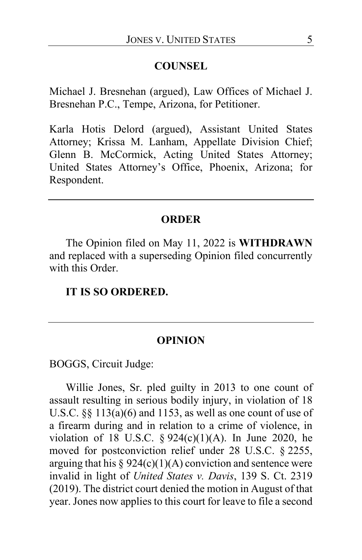#### **COUNSEL**

Michael J. Bresnehan (argued), Law Offices of Michael J. Bresnehan P.C., Tempe, Arizona, for Petitioner.

Karla Hotis Delord (argued), Assistant United States Attorney; Krissa M. Lanham, Appellate Division Chief; Glenn B. McCormick, Acting United States Attorney; United States Attorney's Office, Phoenix, Arizona; for Respondent.

#### **ORDER**

The Opinion filed on May 11, 2022 is **WITHDRAWN** and replaced with a superseding Opinion filed concurrently with this Order.

#### **IT IS SO ORDERED.**

#### **OPINION**

BOGGS, Circuit Judge:

Willie Jones, Sr. pled guilty in 2013 to one count of assault resulting in serious bodily injury, in violation of 18 U.S.C. §§ 113(a)(6) and 1153, as well as one count of use of a firearm during and in relation to a crime of violence, in violation of 18 U.S.C.  $\S 924(c)(1)(A)$ . In June 2020, he moved for postconviction relief under 28 U.S.C. § 2255, arguing that his  $\S 924(c)(1)(A)$  conviction and sentence were invalid in light of *United States v. Davis*, 139 S. Ct. 2319 (2019). The district court denied the motion in August of that year. Jones now applies to this court for leave to file a second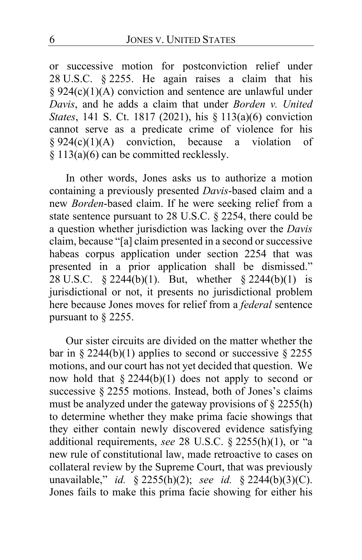or successive motion for postconviction relief under 28 U.S.C. § 2255. He again raises a claim that his § 924(c)(1)(A) conviction and sentence are unlawful under *Davis*, and he adds a claim that under *Borden v. United States*, 141 S. Ct. 1817 (2021), his § 113(a)(6) conviction cannot serve as a predicate crime of violence for his  $§ 924(c)(1)(A)$  conviction, because a violation of § 113(a)(6) can be committed recklessly.

In other words, Jones asks us to authorize a motion containing a previously presented *Davis*-based claim and a new *Borden*-based claim. If he were seeking relief from a state sentence pursuant to 28 U.S.C. § 2254, there could be a question whether jurisdiction was lacking over the *Davis* claim, because "[a] claim presented in a second or successive habeas corpus application under section 2254 that was presented in a prior application shall be dismissed." 28 U.S.C. § 2244(b)(1). But, whether § 2244(b)(1) is jurisdictional or not, it presents no jurisdictional problem here because Jones moves for relief from a *federal* sentence pursuant to § 2255.

Our sister circuits are divided on the matter whether the bar in § 2244(b)(1) applies to second or successive § 2255 motions, and our court has not yet decided that question. We now hold that  $\S 2244(b)(1)$  does not apply to second or successive § 2255 motions. Instead, both of Jones's claims must be analyzed under the gateway provisions of § 2255(h) to determine whether they make prima facie showings that they either contain newly discovered evidence satisfying additional requirements, *see* 28 U.S.C. § 2255(h)(1), or "a new rule of constitutional law, made retroactive to cases on collateral review by the Supreme Court, that was previously unavailable," *id.* § 2255(h)(2); *see id.* § 2244(b)(3)(C). Jones fails to make this prima facie showing for either his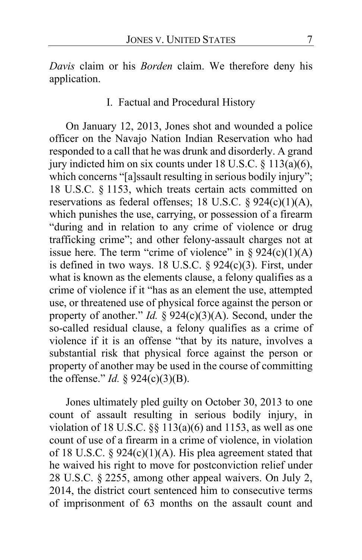*Davis* claim or his *Borden* claim. We therefore deny his application.

I. Factual and Procedural History

On January 12, 2013, Jones shot and wounded a police officer on the Navajo Nation Indian Reservation who had responded to a call that he was drunk and disorderly. A grand jury indicted him on six counts under 18 U.S.C. § 113(a)(6), which concerns "[a]ssault resulting in serious bodily injury"; 18 U.S.C. § 1153, which treats certain acts committed on reservations as federal offenses; 18 U.S.C. § 924(c)(1)(A), which punishes the use, carrying, or possession of a firearm "during and in relation to any crime of violence or drug trafficking crime"; and other felony-assault charges not at issue here. The term "crime of violence" in  $\S 924(c)(1)(A)$ is defined in two ways. 18 U.S.C. § 924(c)(3). First, under what is known as the elements clause, a felony qualifies as a crime of violence if it "has as an element the use, attempted use, or threatened use of physical force against the person or property of another." *Id.* § 924(c)(3)(A). Second, under the so-called residual clause, a felony qualifies as a crime of violence if it is an offense "that by its nature, involves a substantial risk that physical force against the person or property of another may be used in the course of committing the offense." *Id.* §  $924(c)(3)(B)$ .

Jones ultimately pled guilty on October 30, 2013 to one count of assault resulting in serious bodily injury, in violation of 18 U.S.C.  $\S\S$  113(a)(6) and 1153, as well as one count of use of a firearm in a crime of violence, in violation of 18 U.S.C. §  $924(c)(1)(A)$ . His plea agreement stated that he waived his right to move for postconviction relief under 28 U.S.C. § 2255, among other appeal waivers. On July 2, 2014, the district court sentenced him to consecutive terms of imprisonment of 63 months on the assault count and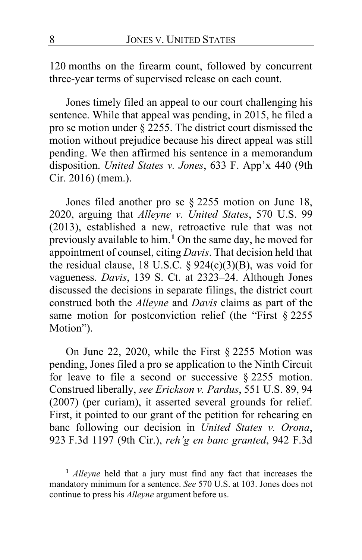120 months on the firearm count, followed by concurrent three-year terms of supervised release on each count.

Jones timely filed an appeal to our court challenging his sentence. While that appeal was pending, in 2015, he filed a pro se motion under § 2255. The district court dismissed the motion without prejudice because his direct appeal was still pending. We then affirmed his sentence in a memorandum disposition. *United States v. Jones*, 633 F. App'x 440 (9th Cir. 2016) (mem.).

Jones filed another pro se § 2255 motion on June 18, 2020, arguing that *Alleyne v. United States*, 570 U.S. 99 (2013), established a new, retroactive rule that was not previously available to him.**[1](#page-7-0)** On the same day, he moved for appointment of counsel, citing *Davis*. That decision held that the residual clause, 18 U.S.C.  $\S 924(c)(3)(B)$ , was void for vagueness. *Davis*, 139 S. Ct. at 2323–24. Although Jones discussed the decisions in separate filings, the district court construed both the *Alleyne* and *Davis* claims as part of the same motion for postconviction relief (the "First § 2255 Motion").

On June 22, 2020, while the First § 2255 Motion was pending, Jones filed a pro se application to the Ninth Circuit for leave to file a second or successive § 2255 motion. Construed liberally, *see Erickson v. Pardus*, 551 U.S. 89, 94 (2007) (per curiam), it asserted several grounds for relief. First, it pointed to our grant of the petition for rehearing en banc following our decision in *United States v. Orona*, 923 F.3d 1197 (9th Cir.), *reh'g en banc granted*, 942 F.3d

<span id="page-7-0"></span>**<sup>1</sup>** *Alleyne* held that a jury must find any fact that increases the mandatory minimum for a sentence. *See* 570 U.S. at 103. Jones does not continue to press his *Alleyne* argument before us.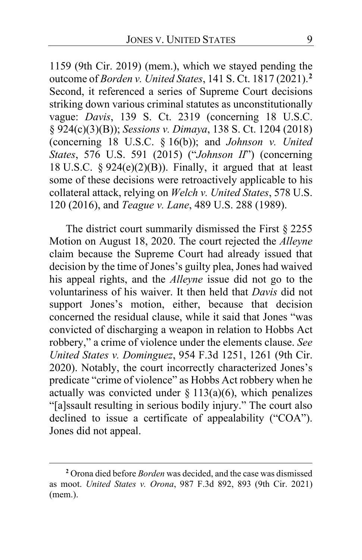1159 (9th Cir. 2019) (mem.), which we stayed pending the outcome of *Borden v. United States*, 141 S. Ct. 1817 (2021).**[2](#page-8-0)** Second, it referenced a series of Supreme Court decisions striking down various criminal statutes as unconstitutionally vague: *Davis*, 139 S. Ct. 2319 (concerning 18 U.S.C. § 924(c)(3)(B)); *Sessions v. Dimaya*, 138 S. Ct. 1204 (2018) (concerning 18 U.S.C. § 16(b)); and *Johnson v. United States*, 576 U.S. 591 (2015) ("*Johnson II*") (concerning 18 U.S.C.  $\S 924(e)(2)(B)$ . Finally, it argued that at least some of these decisions were retroactively applicable to his collateral attack, relying on *Welch v. United States*, 578 U.S. 120 (2016), and *Teague v. Lane*, 489 U.S. 288 (1989).

The district court summarily dismissed the First § 2255 Motion on August 18, 2020. The court rejected the *Alleyne* claim because the Supreme Court had already issued that decision by the time of Jones's guilty plea, Jones had waived his appeal rights, and the *Alleyne* issue did not go to the voluntariness of his waiver. It then held that *Davis* did not support Jones's motion, either, because that decision concerned the residual clause, while it said that Jones "was convicted of discharging a weapon in relation to Hobbs Act robbery," a crime of violence under the elements clause. *See United States v. Dominguez*, 954 F.3d 1251, 1261 (9th Cir. 2020). Notably, the court incorrectly characterized Jones's predicate "crime of violence" as Hobbs Act robbery when he actually was convicted under  $\S$  113(a)(6), which penalizes "[a]ssault resulting in serious bodily injury." The court also declined to issue a certificate of appealability ("COA"). Jones did not appeal.

<span id="page-8-0"></span>**<sup>2</sup>** Orona died before *Borden* was decided, and the case was dismissed as moot. *United States v. Orona*, 987 F.3d 892, 893 (9th Cir. 2021) (mem.).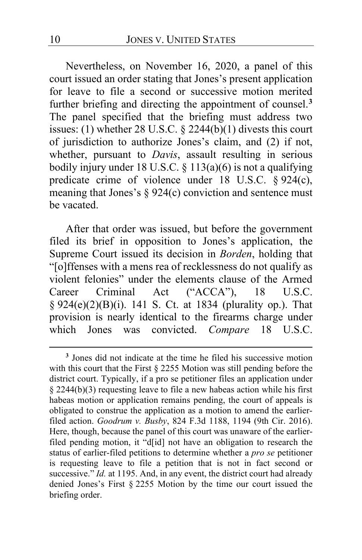Nevertheless, on November 16, 2020, a panel of this court issued an order stating that Jones's present application for leave to file a second or successive motion merited further briefing and directing the appointment of counsel.**[3](#page-9-0)** The panel specified that the briefing must address two issues: (1) whether 28 U.S.C. § 2244(b)(1) divests this court of jurisdiction to authorize Jones's claim, and (2) if not, whether, pursuant to *Davis*, assault resulting in serious bodily injury under 18 U.S.C.  $\S$  113(a)(6) is not a qualifying predicate crime of violence under 18 U.S.C. § 924(c), meaning that Jones's  $\S 924(c)$  conviction and sentence must be vacated.

After that order was issued, but before the government filed its brief in opposition to Jones's application, the Supreme Court issued its decision in *Borden*, holding that "[o]ffenses with a mens rea of recklessness do not qualify as violent felonies" under the elements clause of the Armed Career Criminal Act ("ACCA"), 18 U.S.C. § 924(e)(2)(B)(i). 141 S. Ct. at 1834 (plurality op.). That provision is nearly identical to the firearms charge under which Jones was convicted. *Compare* 18 U.S.C.

<span id="page-9-0"></span>**<sup>3</sup>** Jones did not indicate at the time he filed his successive motion with this court that the First § 2255 Motion was still pending before the district court. Typically, if a pro se petitioner files an application under § 2244(b)(3) requesting leave to file a new habeas action while his first habeas motion or application remains pending, the court of appeals is obligated to construe the application as a motion to amend the earlierfiled action. *Goodrum v. Busby*, 824 F.3d 1188, 1194 (9th Cir. 2016). Here, though, because the panel of this court was unaware of the earlierfiled pending motion, it "d[id] not have an obligation to research the status of earlier-filed petitions to determine whether a *pro se* petitioner is requesting leave to file a petition that is not in fact second or successive." *Id.* at 1195. And, in any event, the district court had already denied Jones's First § 2255 Motion by the time our court issued the briefing order.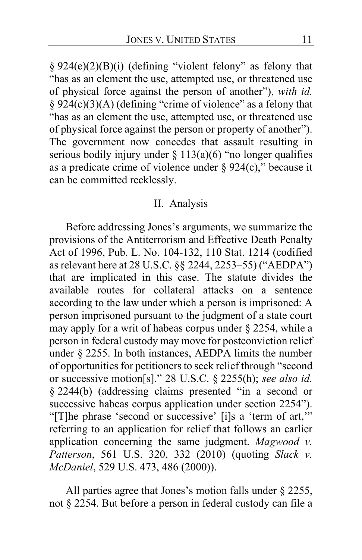§ 924(e)(2)(B)(i) (defining "violent felony" as felony that "has as an element the use, attempted use, or threatened use of physical force against the person of another"), *with id.*   $§$  924(c)(3)(A) (defining "crime of violence" as a felony that "has as an element the use, attempted use, or threatened use of physical force against the person or property of another"). The government now concedes that assault resulting in serious bodily injury under  $\S$  113(a)(6) "no longer qualifies as a predicate crime of violence under  $\S 924(c)$ ," because it can be committed recklessly.

#### II. Analysis

Before addressing Jones's arguments, we summarize the provisions of the Antiterrorism and Effective Death Penalty Act of 1996, Pub. L. No. 104-132, 110 Stat. 1214 (codified as relevant here at 28 U.S.C. §§ 2244, 2253–55) ("AEDPA") that are implicated in this case. The statute divides the available routes for collateral attacks on a sentence according to the law under which a person is imprisoned: A person imprisoned pursuant to the judgment of a state court may apply for a writ of habeas corpus under § 2254, while a person in federal custody may move for postconviction relief under § 2255. In both instances, AEDPA limits the number of opportunities for petitioners to seek relief through "second or successive motion[s]." 28 U.S.C. § 2255(h); *see also id.*  § 2244(b) (addressing claims presented "in a second or successive habeas corpus application under section 2254"). "[T]he phrase 'second or successive' [i]s a 'term of art,'" referring to an application for relief that follows an earlier application concerning the same judgment. *Magwood v. Patterson*, 561 U.S. 320, 332 (2010) (quoting *Slack v. McDaniel*, 529 U.S. 473, 486 (2000)).

All parties agree that Jones's motion falls under § 2255, not § 2254. But before a person in federal custody can file a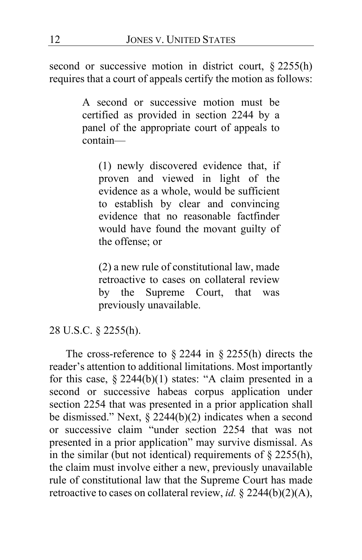second or successive motion in district court, § 2255(h) requires that a court of appeals certify the motion as follows:

> A second or successive motion must be certified as provided in section 2244 by a panel of the appropriate court of appeals to contain—

(1) newly discovered evidence that, if proven and viewed in light of the evidence as a whole, would be sufficient to establish by clear and convincing evidence that no reasonable factfinder would have found the movant guilty of the offense; or

(2) a new rule of constitutional law, made retroactive to cases on collateral review by the Supreme Court, that was previously unavailable.

# 28 U.S.C. § 2255(h).

The cross-reference to  $\S$  2244 in  $\S$  2255(h) directs the reader's attention to additional limitations. Most importantly for this case,  $\S 2244(b)(1)$  states: "A claim presented in a second or successive habeas corpus application under section 2254 that was presented in a prior application shall be dismissed." Next,  $\S$  2244(b)(2) indicates when a second or successive claim "under section 2254 that was not presented in a prior application" may survive dismissal. As in the similar (but not identical) requirements of  $\S$  2255(h), the claim must involve either a new, previously unavailable rule of constitutional law that the Supreme Court has made retroactive to cases on collateral review, *id.* § 2244(b)(2)(A),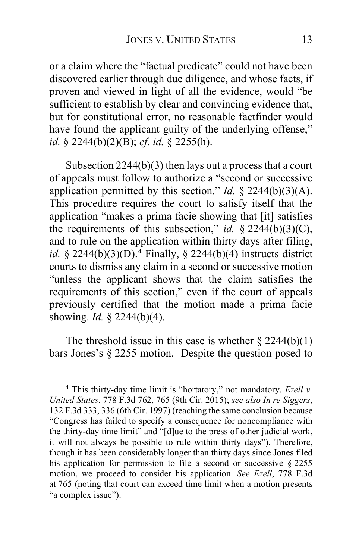or a claim where the "factual predicate" could not have been discovered earlier through due diligence, and whose facts, if proven and viewed in light of all the evidence, would "be sufficient to establish by clear and convincing evidence that, but for constitutional error, no reasonable factfinder would have found the applicant guilty of the underlying offense," *id.* § 2244(b)(2)(B); *cf. id.* § 2255(h).

Subsection 2244(b)(3) then lays out a process that a court of appeals must follow to authorize a "second or successive application permitted by this section." *Id.*  $\S$  2244(b)(3)(A). This procedure requires the court to satisfy itself that the application "makes a prima facie showing that [it] satisfies the requirements of this subsection," *id.* § 2244(b)(3)(C), and to rule on the application within thirty days after filing, *id.* § 2244(b)(3)(D).**[4](#page-12-0)** Finally, § 2244(b)(4) instructs district courts to dismiss any claim in a second or successive motion "unless the applicant shows that the claim satisfies the requirements of this section," even if the court of appeals previously certified that the motion made a prima facie showing. *Id.* § 2244(b)(4).

The threshold issue in this case is whether  $\S 2244(b)(1)$ bars Jones's § 2255 motion. Despite the question posed to

<span id="page-12-0"></span>**<sup>4</sup>** This thirty-day time limit is "hortatory," not mandatory. *Ezell v. United States*, 778 F.3d 762, 765 (9th Cir. 2015); *see also In re Siggers*, 132 F.3d 333, 336 (6th Cir. 1997) (reaching the same conclusion because "Congress has failed to specify a consequence for noncompliance with the thirty-day time limit" and "[d]ue to the press of other judicial work, it will not always be possible to rule within thirty days"). Therefore, though it has been considerably longer than thirty days since Jones filed his application for permission to file a second or successive § 2255 motion, we proceed to consider his application. *See Ezell*, 778 F.3d at 765 (noting that court can exceed time limit when a motion presents "a complex issue").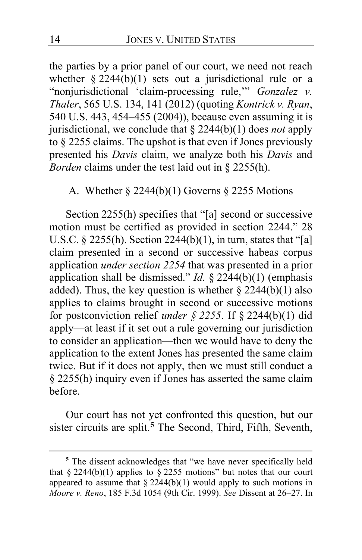the parties by a prior panel of our court, we need not reach whether  $\S 2244(b)(1)$  sets out a jurisdictional rule or a "nonjurisdictional 'claim-processing rule,'" *Gonzalez v. Thaler*, 565 U.S. 134, 141 (2012) (quoting *Kontrick v. Ryan*, 540 U.S. 443, 454–455 (2004)), because even assuming it is jurisdictional, we conclude that § 2244(b)(1) does *not* apply to § 2255 claims. The upshot is that even if Jones previously presented his *Davis* claim, we analyze both his *Davis* and *Borden* claims under the test laid out in § 2255(h).

# A. Whether § 2244(b)(1) Governs § 2255 Motions

Section 2255(h) specifies that "[a] second or successive motion must be certified as provided in section 2244." 28 U.S.C. § 2255(h). Section  $22\overline{4}(b)(1)$ , in turn, states that "[a] claim presented in a second or successive habeas corpus application *under section 2254* that was presented in a prior application shall be dismissed." *Id.* § 2244(b)(1) (emphasis added). Thus, the key question is whether  $\S 2244(b)(1)$  also applies to claims brought in second or successive motions for postconviction relief *under § 2255*. If § 2244(b)(1) did apply—at least if it set out a rule governing our jurisdiction to consider an application—then we would have to deny the application to the extent Jones has presented the same claim twice. But if it does not apply, then we must still conduct a § 2255(h) inquiry even if Jones has asserted the same claim before.

Our court has not yet confronted this question, but our sister circuits are split.**[5](#page-13-0)** The Second, Third, Fifth, Seventh,

<span id="page-13-0"></span>**<sup>5</sup>** The dissent acknowledges that "we have never specifically held that § 2244(b)(1) applies to § 2255 motions" but notes that our court appeared to assume that  $\S 2244(b)(1)$  would apply to such motions in *Moore v. Reno*, 185 F.3d 1054 (9th Cir. 1999). *See* Dissent at [26](#page-25-0)[–27.](#page-26-0) In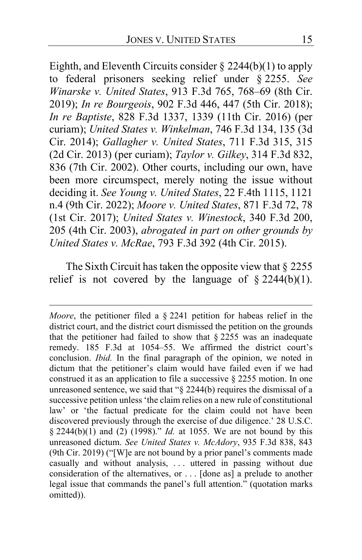Eighth, and Eleventh Circuits consider § 2244(b)(1) to apply to federal prisoners seeking relief under § 2255. *See Winarske v. United States*, 913 F.3d 765, 768–69 (8th Cir. 2019); *In re Bourgeois*, 902 F.3d 446, 447 (5th Cir. 2018); *In re Baptiste*, 828 F.3d 1337, 1339 (11th Cir. 2016) (per curiam); *United States v. Winkelman*, 746 F.3d 134, 135 (3d Cir. 2014); *Gallagher v. United States*, 711 F.3d 315, 315 (2d Cir. 2013) (per curiam); *Taylor v. Gilkey*, 314 F.3d 832, 836 (7th Cir. 2002). Other courts, including our own, have been more circumspect, merely noting the issue without deciding it. *See Young v. United States*, 22 F.4th 1115, 1121 n.4 (9th Cir. 2022); *Moore v. United States*, 871 F.3d 72, 78 (1st Cir. 2017); *United States v. Winestock*, 340 F.3d 200, 205 (4th Cir. 2003), *abrogated in part on other grounds by United States v. McRae*, 793 F.3d 392 (4th Cir. 2015).

The Sixth Circuit has taken the opposite view that  $\S 2255$ relief is not covered by the language of  $\S 2244(b)(1)$ .

*Moore*, the petitioner filed a § 2241 petition for habeas relief in the district court, and the district court dismissed the petition on the grounds that the petitioner had failed to show that  $\S$  2255 was an inadequate remedy. 185 F.3d at 1054–55. We affirmed the district court's conclusion. *Ibid.* In the final paragraph of the opinion, we noted in dictum that the petitioner's claim would have failed even if we had construed it as an application to file a successive  $\S$  2255 motion. In one unreasoned sentence, we said that "§ 2244(b) requires the dismissal of a successive petition unless 'the claim relies on a new rule of constitutional law' or 'the factual predicate for the claim could not have been discovered previously through the exercise of due diligence.' 28 U.S.C. § 2244(b)(1) and (2) (1998)." *Id.* at 1055. We are not bound by this unreasoned dictum. *See United States v. McAdory*, 935 F.3d 838, 843 (9th Cir. 2019) ("[W]e are not bound by a prior panel's comments made casually and without analysis, . . . uttered in passing without due consideration of the alternatives, or . . . [done as] a prelude to another legal issue that commands the panel's full attention." (quotation marks omitted)).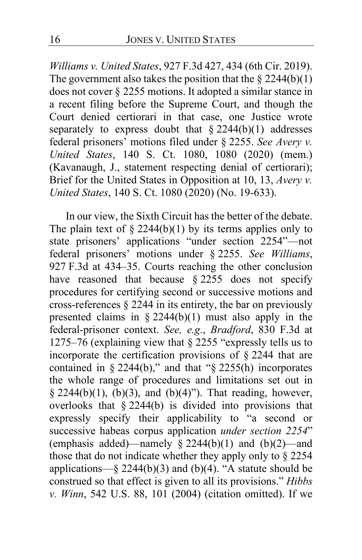*Williams v. United States*, 927 F.3d 427, 434 (6th Cir. 2019). The government also takes the position that the  $\S 2244(b)(1)$ does not cover § 2255 motions. It adopted a similar stance in a recent filing before the Supreme Court, and though the Court denied certiorari in that case, one Justice wrote separately to express doubt that  $\S 2244(b)(1)$  addresses federal prisoners' motions filed under § 2255. *See Avery v. United States*, 140 S. Ct. 1080, 1080 (2020) (mem.) (Kavanaugh, J., statement respecting denial of certiorari); Brief for the United States in Opposition at 10, 13, *Avery v. United States*, 140 S. Ct. 1080 (2020) (No. 19-633).

In our view, the Sixth Circuit has the better of the debate. The plain text of  $\S 2244(b)(1)$  by its terms applies only to state prisoners' applications "under section 2254"—not federal prisoners' motions under § 2255. *See Williams*, 927 F.3d at 434–35. Courts reaching the other conclusion have reasoned that because  $§$  2255 does not specify procedures for certifying second or successive motions and cross-references § 2244 in its entirety, the bar on previously presented claims in § 2244(b)(1) must also apply in the federal-prisoner context. *See, e.g.*, *Bradford*, 830 F.3d at 1275–76 (explaining view that § 2255 "expressly tells us to incorporate the certification provisions of § 2244 that are contained in  $\S 2244(b)$ ," and that " $\S 2255(h)$  incorporates the whole range of procedures and limitations set out in § 2244(b)(1),  $(b)(3)$ , and  $(b)(4)$ "). That reading, however, overlooks that  $\frac{2244(b)}{b}$  is divided into provisions that expressly specify their applicability to "a second or successive habeas corpus application *under section 2254*" (emphasis added)—namely  $\frac{1}{8}$  2244(b)(1) and (b)(2)—and those that do not indicate whether they apply only to § 2254 applications—§ 2244(b)(3) and (b)(4). "A statute should be construed so that effect is given to all its provisions." *Hibbs v. Winn*, 542 U.S. 88, 101 (2004) (citation omitted). If we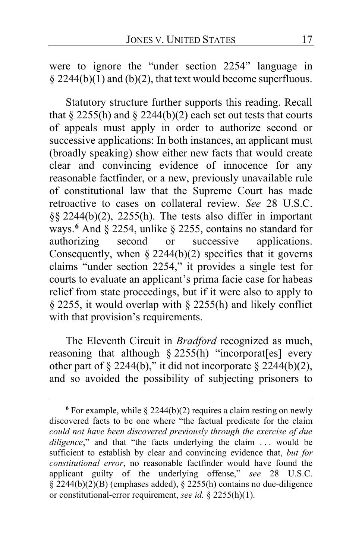were to ignore the "under section 2254" language in  $§$  2244(b)(1) and (b)(2), that text would become superfluous.

Statutory structure further supports this reading. Recall that  $\S$  2255(h) and  $\S$  2244(b)(2) each set out tests that courts of appeals must apply in order to authorize second or successive applications: In both instances, an applicant must (broadly speaking) show either new facts that would create clear and convincing evidence of innocence for any reasonable factfinder, or a new, previously unavailable rule of constitutional law that the Supreme Court has made retroactive to cases on collateral review. *See* 28 U.S.C. §§ 2244(b)(2), 2255(h). The tests also differ in important ways.**[6](#page-16-0)** And § 2254, unlike § 2255, contains no standard for authorizing second or successive applications. Consequently, when  $\S 2244(b)(2)$  specifies that it governs claims "under section 2254," it provides a single test for courts to evaluate an applicant's prima facie case for habeas relief from state proceedings, but if it were also to apply to § 2255, it would overlap with § 2255(h) and likely conflict with that provision's requirements.

The Eleventh Circuit in *Bradford* recognized as much, reasoning that although § 2255(h) "incorporat[es] every other part of  $\S$  2244(b)," it did not incorporate  $\S$  2244(b)(2), and so avoided the possibility of subjecting prisoners to

<span id="page-16-0"></span> $6$  For example, while  $\frac{6}{9}$  2244(b)(2) requires a claim resting on newly discovered facts to be one where "the factual predicate for the claim *could not have been discovered previously through the exercise of due diligence*," and that "the facts underlying the claim ... would be sufficient to establish by clear and convincing evidence that, *but for constitutional error*, no reasonable factfinder would have found the applicant guilty of the underlying offense," *see* 28 U.S.C.  $\frac{\sqrt{2244(b)(2)(B)}}{2}$  (emphases added),  $\frac{\sqrt{2255(h)}}{2}$  contains no due-diligence or constitutional-error requirement, *see id.* § 2255(h)(1).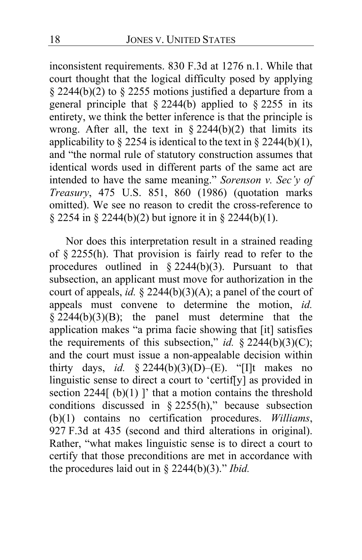inconsistent requirements. 830 F.3d at 1276 n.1. While that court thought that the logical difficulty posed by applying  $\S$  2244(b)(2) to  $\S$  2255 motions justified a departure from a general principle that  $\S 2244(b)$  applied to  $\S 2255$  in its entirety, we think the better inference is that the principle is wrong. After all, the text in  $\S 2244(b)(2)$  that limits its applicability to § 2254 is identical to the text in § 2244(b)(1), and "the normal rule of statutory construction assumes that identical words used in different parts of the same act are intended to have the same meaning." *Sorenson v. Sec'y of Treasury*, 475 U.S. 851, 860 (1986) (quotation marks omitted). We see no reason to credit the cross-reference to § 2254 in § 2244(b)(2) but ignore it in § 2244(b)(1).

Nor does this interpretation result in a strained reading of § 2255(h). That provision is fairly read to refer to the procedures outlined in  $\S$  2244(b)(3). Pursuant to that subsection, an applicant must move for authorization in the court of appeals, *id.* § 2244(b)(3)(A); a panel of the court of appeals must convene to determine the motion, *id.*   $\frac{2244(b)(3)(B)}{2244(b)(3)(B)}$ ; the panel must determine that the application makes "a prima facie showing that [it] satisfies the requirements of this subsection," *id.* § 2244(b)(3)(C); and the court must issue a non-appealable decision within thirty days, *id.* § 2244(b)(3)(D)–(E). "[I]t makes no linguistic sense to direct a court to 'certif[y] as provided in section 2244[ (b)(1) ]' that a motion contains the threshold conditions discussed in  $\S$  2255(h)," because subsection (b)(1) contains no certification procedures. *Williams*, 927 F.3d at 435 (second and third alterations in original). Rather, "what makes linguistic sense is to direct a court to certify that those preconditions are met in accordance with the procedures laid out in § 2244(b)(3)." *Ibid.*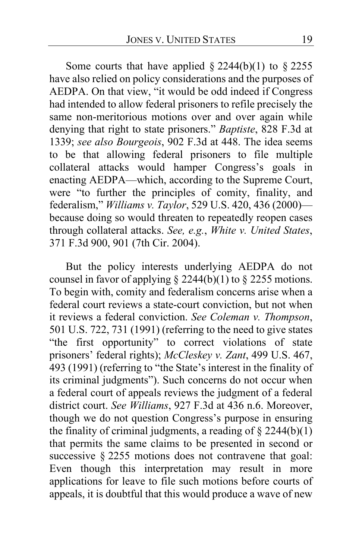Some courts that have applied  $\S 2244(b)(1)$  to  $\S 2255$ have also relied on policy considerations and the purposes of AEDPA. On that view, "it would be odd indeed if Congress had intended to allow federal prisoners to refile precisely the same non-meritorious motions over and over again while denying that right to state prisoners." *Baptiste*, 828 F.3d at 1339; *see also Bourgeois*, 902 F.3d at 448. The idea seems to be that allowing federal prisoners to file multiple collateral attacks would hamper Congress's goals in enacting AEDPA—which, according to the Supreme Court, were "to further the principles of comity, finality, and federalism," *Williams v. Taylor*, 529 U.S. 420, 436 (2000) because doing so would threaten to repeatedly reopen cases through collateral attacks. *See, e.g.*, *White v. United States*, 371 F.3d 900, 901 (7th Cir. 2004).

But the policy interests underlying AEDPA do not counsel in favor of applying  $\S$  2244(b)(1) to  $\S$  2255 motions. To begin with, comity and federalism concerns arise when a federal court reviews a state-court conviction, but not when it reviews a federal conviction. *See Coleman v. Thompson*, 501 U.S. 722, 731 (1991) (referring to the need to give states "the first opportunity" to correct violations of state prisoners' federal rights); *McCleskey v. Zant*, 499 U.S. 467, 493 (1991) (referring to "the State's interest in the finality of its criminal judgments"). Such concerns do not occur when a federal court of appeals reviews the judgment of a federal district court. *See Williams*, 927 F.3d at 436 n.6. Moreover, though we do not question Congress's purpose in ensuring the finality of criminal judgments, a reading of  $\S$  2244(b)(1) that permits the same claims to be presented in second or successive § 2255 motions does not contravene that goal: Even though this interpretation may result in more applications for leave to file such motions before courts of appeals, it is doubtful that this would produce a wave of new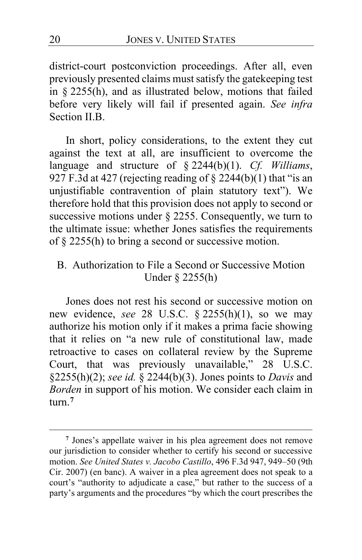district-court postconviction proceedings. After all, even previously presented claims must satisfy the gatekeeping test in § 2255(h), and as illustrated below, motions that failed before very likely will fail if presented again. *See infra* Section II.B.

In short, policy considerations, to the extent they cut against the text at all, are insufficient to overcome the language and structure of § 2244(b)(1). *Cf. Williams*, 927 F.3d at 427 (rejecting reading of  $\S$  2244(b)(1) that "is an unjustifiable contravention of plain statutory text"). We therefore hold that this provision does not apply to second or successive motions under § 2255. Consequently, we turn to the ultimate issue: whether Jones satisfies the requirements of § 2255(h) to bring a second or successive motion.

B. Authorization to File a Second or Successive Motion Under § 2255(h)

Jones does not rest his second or successive motion on new evidence, *see* 28 U.S.C. § 2255(h)(1), so we may authorize his motion only if it makes a prima facie showing that it relies on "a new rule of constitutional law, made retroactive to cases on collateral review by the Supreme Court, that was previously unavailable," 28 U.S.C. §2255(h)(2); *see id.* § 2244(b)(3). Jones points to *Davis* and *Borden* in support of his motion. We consider each claim in turn.**[7](#page-19-0)**

<span id="page-19-0"></span>**<sup>7</sup>** Jones's appellate waiver in his plea agreement does not remove our jurisdiction to consider whether to certify his second or successive motion. *See United States v. Jacobo Castillo*, 496 F.3d 947, 949–50 (9th Cir. 2007) (en banc). A waiver in a plea agreement does not speak to a court's "authority to adjudicate a case," but rather to the success of a party's arguments and the procedures "by which the court prescribes the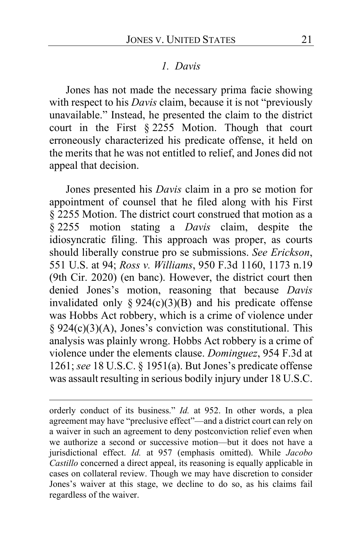### *1. Davis*

Jones has not made the necessary prima facie showing with respect to his *Davis* claim, because it is not "previously unavailable." Instead, he presented the claim to the district court in the First § 2255 Motion. Though that court erroneously characterized his predicate offense, it held on the merits that he was not entitled to relief, and Jones did not appeal that decision.

Jones presented his *Davis* claim in a pro se motion for appointment of counsel that he filed along with his First § 2255 Motion. The district court construed that motion as a § 2255 motion stating a *Davis* claim, despite the idiosyncratic filing. This approach was proper, as courts should liberally construe pro se submissions. *See Erickson*, 551 U.S. at 94; *Ross v. Williams*, 950 F.3d 1160, 1173 n.19 (9th Cir. 2020) (en banc). However, the district court then denied Jones's motion, reasoning that because *Davis* invalidated only §  $924(c)(3)(B)$  and his predicate offense was Hobbs Act robbery, which is a crime of violence under § 924(c)(3)(A), Jones's conviction was constitutional. This analysis was plainly wrong. Hobbs Act robbery is a crime of violence under the elements clause. *Dominguez*, 954 F.3d at 1261; *see* 18 U.S.C. § 1951(a). But Jones's predicate offense was assault resulting in serious bodily injury under 18 U.S.C.

orderly conduct of its business." *Id.* at 952. In other words, a plea agreement may have "preclusive effect"—and a district court can rely on a waiver in such an agreement to deny postconviction relief even when we authorize a second or successive motion—but it does not have a jurisdictional effect. *Id.* at 957 (emphasis omitted). While *Jacobo Castillo* concerned a direct appeal, its reasoning is equally applicable in cases on collateral review. Though we may have discretion to consider Jones's waiver at this stage, we decline to do so, as his claims fail regardless of the waiver.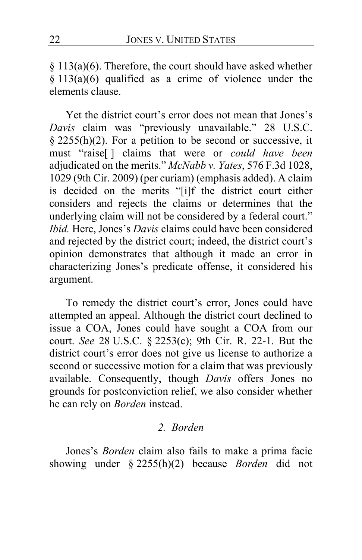§ 113(a)(6). Therefore, the court should have asked whether  $§ 113(a)(6)$  qualified as a crime of violence under the elements clause.

Yet the district court's error does not mean that Jones's *Davis* claim was "previously unavailable." 28 U.S.C. § 2255(h)(2). For a petition to be second or successive, it must "raise[ ] claims that were or *could have been* adjudicated on the merits." *McNabb v. Yates*, 576 F.3d 1028, 1029 (9th Cir. 2009) (per curiam) (emphasis added). A claim is decided on the merits "[i]f the district court either considers and rejects the claims or determines that the underlying claim will not be considered by a federal court." *Ibid.* Here, Jones's *Davis* claims could have been considered and rejected by the district court; indeed, the district court's opinion demonstrates that although it made an error in characterizing Jones's predicate offense, it considered his argument.

To remedy the district court's error, Jones could have attempted an appeal. Although the district court declined to issue a COA, Jones could have sought a COA from our court. *See* 28 U.S.C. § 2253(c); 9th Cir. R. 22-1. But the district court's error does not give us license to authorize a second or successive motion for a claim that was previously available. Consequently, though *Davis* offers Jones no grounds for postconviction relief, we also consider whether he can rely on *Borden* instead.

# *2. Borden*

Jones's *Borden* claim also fails to make a prima facie showing under § 2255(h)(2) because *Borden* did not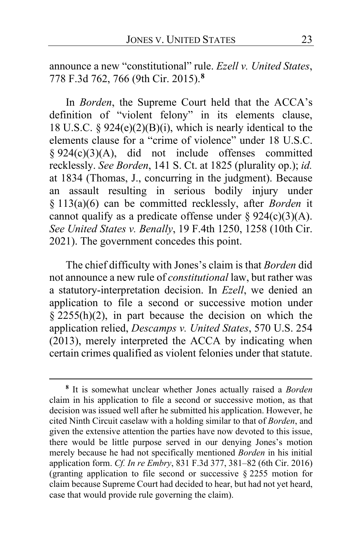announce a new "constitutional" rule. *Ezell v. United States*, 778 F.3d 762, 766 (9th Cir. 2015).**[8](#page-22-0)**

In *Borden*, the Supreme Court held that the ACCA's definition of "violent felony" in its elements clause, 18 U.S.C. §  $924(e)(2)(B)(i)$ , which is nearly identical to the elements clause for a "crime of violence" under 18 U.S.C. § 924(c)(3)(A), did not include offenses committed recklessly. *See Borden*, 141 S. Ct. at 1825 (plurality op.); *id.* at 1834 (Thomas, J., concurring in the judgment). Because an assault resulting in serious bodily injury under § 113(a)(6) can be committed recklessly, after *Borden* it cannot qualify as a predicate offense under  $\S 924(c)(3)(A)$ . *See United States v. Benally*, 19 F.4th 1250, 1258 (10th Cir. 2021). The government concedes this point.

The chief difficulty with Jones's claim is that *Borden* did not announce a new rule of *constitutional* law, but rather was a statutory-interpretation decision. In *Ezell*, we denied an application to file a second or successive motion under  $§$  2255(h)(2), in part because the decision on which the application relied, *Descamps v. United States*, 570 U.S. 254 (2013), merely interpreted the ACCA by indicating when certain crimes qualified as violent felonies under that statute.

<span id="page-22-0"></span>**<sup>8</sup>** It is somewhat unclear whether Jones actually raised a *Borden* claim in his application to file a second or successive motion, as that decision was issued well after he submitted his application. However, he cited Ninth Circuit caselaw with a holding similar to that of *Borden*, and given the extensive attention the parties have now devoted to this issue, there would be little purpose served in our denying Jones's motion merely because he had not specifically mentioned *Borden* in his initial application form. *Cf. In re Embry*, 831 F.3d 377, 381–82 (6th Cir. 2016) (granting application to file second or successive § 2255 motion for claim because Supreme Court had decided to hear, but had not yet heard, case that would provide rule governing the claim).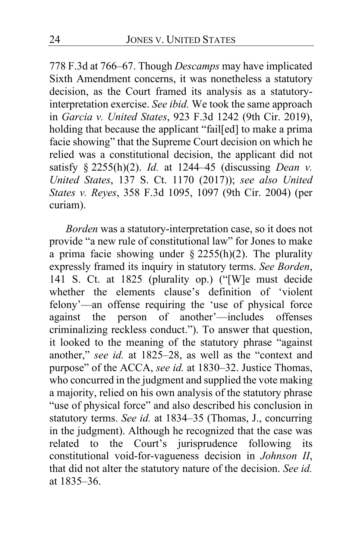778 F.3d at 766–67. Though *Descamps* may have implicated Sixth Amendment concerns, it was nonetheless a statutory decision, as the Court framed its analysis as a statutoryinterpretation exercise. *See ibid.* We took the same approach in *Garcia v. United States*, 923 F.3d 1242 (9th Cir. 2019), holding that because the applicant "fail[ed] to make a prima facie showing" that the Supreme Court decision on which he relied was a constitutional decision, the applicant did not satisfy § 2255(h)(2). *Id.* at 1244–45 (discussing *Dean v. United States*, 137 S. Ct. 1170 (2017)); *see also United States v. Reyes*, 358 F.3d 1095, 1097 (9th Cir. 2004) (per curiam).

*Borden* was a statutory-interpretation case, so it does not provide "a new rule of constitutional law" for Jones to make a prima facie showing under  $\S$  2255(h)(2). The plurality expressly framed its inquiry in statutory terms. *See Borden*, 141 S. Ct. at 1825 (plurality op.) ("[W]e must decide whether the elements clause's definition of 'violent felony'—an offense requiring the 'use of physical force against the person of another'—includes offenses criminalizing reckless conduct."). To answer that question, it looked to the meaning of the statutory phrase "against another," *see id.* at 1825–28, as well as the "context and purpose" of the ACCA, *see id.* at 1830–32. Justice Thomas, who concurred in the judgment and supplied the vote making a majority, relied on his own analysis of the statutory phrase "use of physical force" and also described his conclusion in statutory terms. *See id.* at 1834–35 (Thomas, J., concurring in the judgment). Although he recognized that the case was related to the Court's jurisprudence following its constitutional void-for-vagueness decision in *Johnson II*, that did not alter the statutory nature of the decision. *See id.* at 1835–36.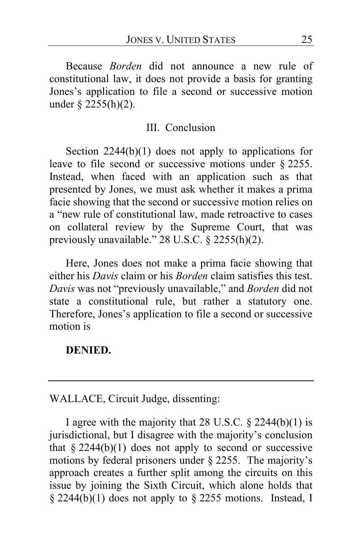Because *Borden* did not announce a new rule of constitutional law, it does not provide a basis for granting Jones's application to file a second or successive motion under § 2255(h)(2).

### III. Conclusion

Section  $2244(b)(1)$  does not apply to applications for leave to file second or successive motions under § 2255. Instead, when faced with an application such as that presented by Jones, we must ask whether it makes a prima facie showing that the second or successive motion relies on a "new rule of constitutional law, made retroactive to cases on collateral review by the Supreme Court, that was previously unavailable." 28 U.S.C. § 2255(h)(2).

Here, Jones does not make a prima facie showing that either his *Davis* claim or his *Borden* claim satisfies this test. *Davis* was not "previously unavailable," and *Borden* did not state a constitutional rule, but rather a statutory one. Therefore, Jones's application to file a second or successive motion is

#### **DENIED.**

# WALLACE, Circuit Judge, dissenting:

I agree with the majority that 28 U.S.C.  $\S$  2244(b)(1) is jurisdictional, but I disagree with the majority's conclusion that  $§$  2244(b)(1) does not apply to second or successive motions by federal prisoners under § 2255. The majority's approach creates a further split among the circuits on this issue by joining the Sixth Circuit, which alone holds that § 2244(b)(1) does not apply to § 2255 motions. Instead, I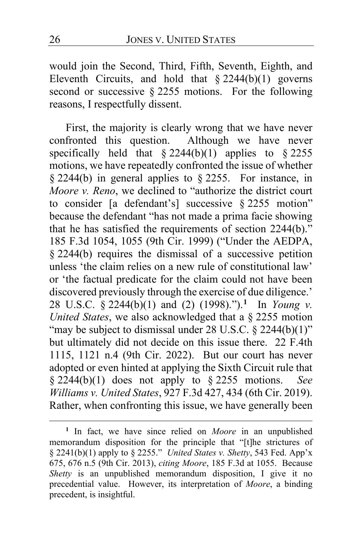would join the Second, Third, Fifth, Seventh, Eighth, and Eleventh Circuits, and hold that  $§ 2244(b)(1)$  governs second or successive § 2255 motions. For the following reasons, I respectfully dissent.

<span id="page-25-0"></span>First, the majority is clearly wrong that we have never confronted this question. Although we have never specifically held that  $\S 2244(b)(1)$  applies to  $\S 2255$ motions, we have repeatedly confronted the issue of whether § 2244(b) in general applies to § 2255. For instance, in *Moore v. Reno*, we declined to "authorize the district court to consider [a defendant's] successive § 2255 motion" because the defendant "has not made a prima facie showing that he has satisfied the requirements of section 2244(b)." 185 F.3d 1054, 1055 (9th Cir. 1999) ("Under the AEDPA, § 2244(b) requires the dismissal of a successive petition unless 'the claim relies on a new rule of constitutional law' or 'the factual predicate for the claim could not have been discovered previously through the exercise of due diligence.' 28 U.S.C. § 2244(b)(1) and (2) (1998).").**[1](#page-25-1)** In *Young v. United States*, we also acknowledged that a § 2255 motion "may be subject to dismissal under 28 U.S.C. § 2244(b)(1)" but ultimately did not decide on this issue there. 22 F.4th 1115, 1121 n.4 (9th Cir. 2022). But our court has never adopted or even hinted at applying the Sixth Circuit rule that § 2244(b)(1) does not apply to § 2255 motions. *See Williams v. United States*, 927 F.3d 427, 434 (6th Cir. 2019). Rather, when confronting this issue, we have generally been

<span id="page-25-1"></span>**<sup>1</sup>** In fact, we have since relied on *Moore* in an unpublished memorandum disposition for the principle that "[t]he strictures of § 2241(b)(1) apply to § 2255." *United States v. Shetty*, 543 Fed. App'x 675, 676 n.5 (9th Cir. 2013), *citing Moore*, 185 F.3d at 1055. Because *Shetty* is an unpublished memorandum disposition, I give it no precedential value. However, its interpretation of *Moore*, a binding precedent, is insightful.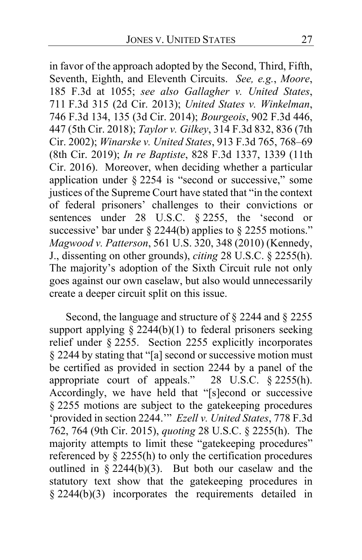in favor of the approach adopted by the Second, Third, Fifth, Seventh, Eighth, and Eleventh Circuits. *See, e.g.*, *Moore*, 185 F.3d at 1055; *see also Gallagher v. United States*, 711 F.3d 315 (2d Cir. 2013); *United States v. Winkelman*, 746 F.3d 134, 135 (3d Cir. 2014); *Bourgeois*, 902 F.3d 446, 447 (5th Cir. 2018); *Taylor v. Gilkey*, 314 F.3d 832, 836 (7th Cir. 2002); *Winarske v. United States*, 913 F.3d 765, 768–69 (8th Cir. 2019); *In re Baptiste*, 828 F.3d 1337, 1339 (11th Cir. 2016). Moreover, when deciding whether a particular application under § 2254 is "second or successive," some justices of the Supreme Court have stated that "in the context of federal prisoners' challenges to their convictions or sentences under 28 U.S.C. § 2255, the 'second or successive' bar under § 2244(b) applies to § 2255 motions." *Magwood v. Patterson*, 561 U.S. 320, 348 (2010) (Kennedy, J., dissenting on other grounds), *citing* 28 U.S.C. § 2255(h). The majority's adoption of the Sixth Circuit rule not only goes against our own caselaw, but also would unnecessarily create a deeper circuit split on this issue.

<span id="page-26-0"></span>Second, the language and structure of § 2244 and § 2255 support applying  $\frac{2244(b)(1)}{b}$  to federal prisoners seeking relief under § 2255. Section 2255 explicitly incorporates § 2244 by stating that "[a] second or successive motion must be certified as provided in section 2244 by a panel of the appropriate court of appeals." 28 U.S.C. § 2255(h). Accordingly, we have held that "[s]econd or successive § 2255 motions are subject to the gatekeeping procedures 'provided in section 2244.'" *Ezell v. United States*, 778 F.3d 762, 764 (9th Cir. 2015), *quoting* 28 U.S.C. § 2255(h). The majority attempts to limit these "gatekeeping procedures" referenced by § 2255(h) to only the certification procedures outlined in § 2244(b)(3). But both our caselaw and the statutory text show that the gatekeeping procedures in § 2244(b)(3) incorporates the requirements detailed in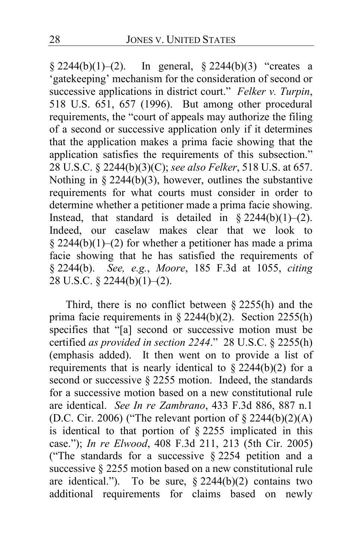$§ 2244(b)(1)–(2).$  In general,  $§ 2244(b)(3)$  "creates a 'gatekeeping' mechanism for the consideration of second or successive applications in district court." *Felker v. Turpin*, 518 U.S. 651, 657 (1996). But among other procedural requirements, the "court of appeals may authorize the filing of a second or successive application only if it determines that the application makes a prima facie showing that the application satisfies the requirements of this subsection." 28 U.S.C. § 2244(b)(3)(C); *see also Felker*, 518 U.S. at 657. Nothing in § 2244(b)(3), however, outlines the substantive requirements for what courts must consider in order to determine whether a petitioner made a prima facie showing. Instead, that standard is detailed in  $\S 2244(b)(1)-(2)$ . Indeed, our caselaw makes clear that we look to § 2244(b)(1)–(2) for whether a petitioner has made a prima facie showing that he has satisfied the requirements of § 2244(b). *See, e.g.*, *Moore*, 185 F.3d at 1055, *citing*  28 U.S.C. § 2244(b)(1)–(2).

Third, there is no conflict between § 2255(h) and the prima facie requirements in § 2244(b)(2). Section 2255(h) specifies that "[a] second or successive motion must be certified *as provided in section 2244*." 28 U.S.C. § 2255(h) (emphasis added). It then went on to provide a list of requirements that is nearly identical to  $\S 2244(b)(2)$  for a second or successive § 2255 motion. Indeed, the standards for a successive motion based on a new constitutional rule are identical. *See In re Zambrano*, 433 F.3d 886, 887 n.1 (D.C. Cir. 2006) ("The relevant portion of  $\S 2244(b)(2)(A)$ is identical to that portion of § 2255 implicated in this case."); *In re Elwood*, 408 F.3d 211, 213 (5th Cir. 2005) ("The standards for a successive § 2254 petition and a successive § 2255 motion based on a new constitutional rule are identical."). To be sure,  $\S 2244(b)(2)$  contains two additional requirements for claims based on newly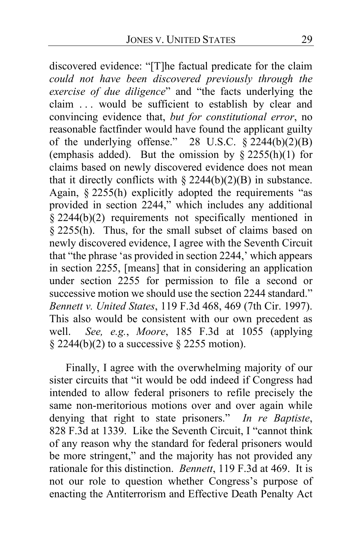discovered evidence: "[T]he factual predicate for the claim *could not have been discovered previously through the exercise of due diligence*" and "the facts underlying the claim . . . would be sufficient to establish by clear and convincing evidence that, *but for constitutional error*, no reasonable factfinder would have found the applicant guilty of the underlying offense." 28 U.S.C.  $\S 2244(b)(2)(B)$ (emphasis added). But the omission by  $\frac{\delta 2255(h)(1)}{h}$  for claims based on newly discovered evidence does not mean that it directly conflicts with  $\S 2244(b)(2)(B)$  in substance. Again, § 2255(h) explicitly adopted the requirements "as provided in section 2244," which includes any additional  $§$  2244(b)(2) requirements not specifically mentioned in § 2255(h). Thus, for the small subset of claims based on newly discovered evidence, I agree with the Seventh Circuit that "the phrase 'as provided in section 2244,' which appears in section 2255, [means] that in considering an application under section 2255 for permission to file a second or successive motion we should use the section 2244 standard." *Bennett v. United States*, 119 F.3d 468, 469 (7th Cir. 1997). This also would be consistent with our own precedent as well. *See, e.g.*, *Moore*, 185 F.3d at 1055 (applying  $\S 2244(b)(2)$  to a successive  $\S 2255$  motion).

Finally, I agree with the overwhelming majority of our sister circuits that "it would be odd indeed if Congress had intended to allow federal prisoners to refile precisely the same non-meritorious motions over and over again while denying that right to state prisoners." *In re Baptiste*, 828 F.3d at 1339. Like the Seventh Circuit, I "cannot think of any reason why the standard for federal prisoners would be more stringent," and the majority has not provided any rationale for this distinction. *Bennett*, 119 F.3d at 469. It is not our role to question whether Congress's purpose of enacting the Antiterrorism and Effective Death Penalty Act